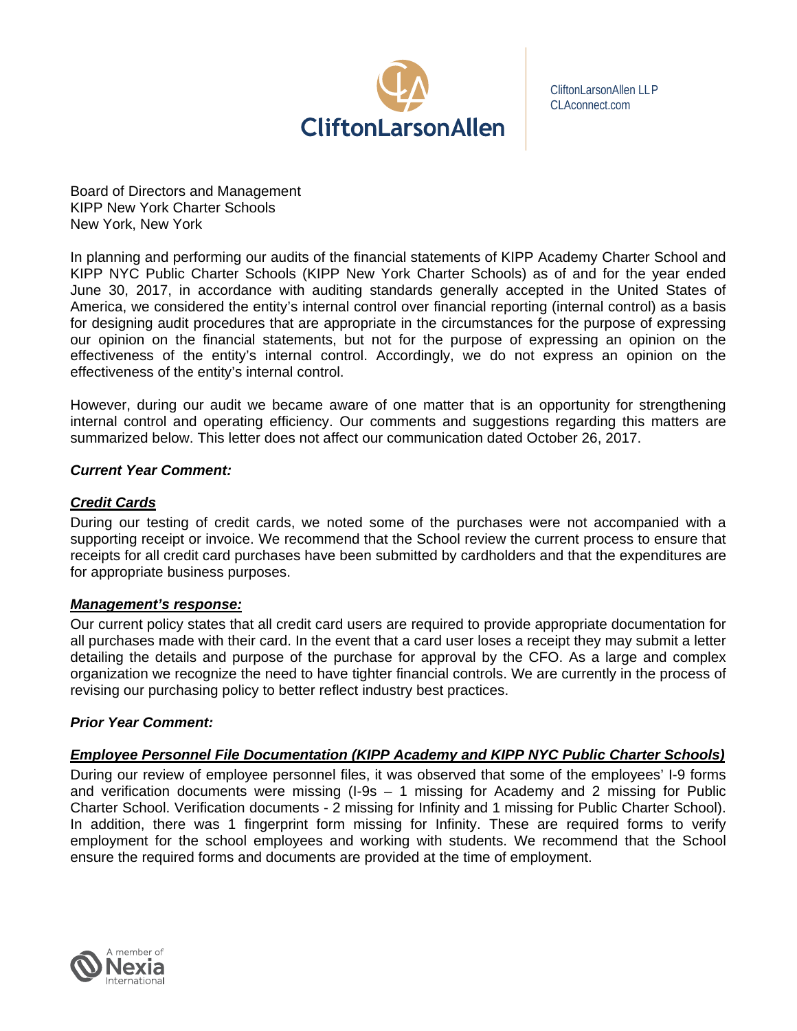

CliftonLarsonAllen LLP CLAconnect.com

Board of Directors and Management KIPP New York Charter Schools New York, New York

In planning and performing our audits of the financial statements of KIPP Academy Charter School and KIPP NYC Public Charter Schools (KIPP New York Charter Schools) as of and for the year ended June 30, 2017, in accordance with auditing standards generally accepted in the United States of America, we considered the entity's internal control over financial reporting (internal control) as a basis for designing audit procedures that are appropriate in the circumstances for the purpose of expressing our opinion on the financial statements, but not for the purpose of expressing an opinion on the effectiveness of the entity's internal control. Accordingly, we do not express an opinion on the effectiveness of the entity's internal control.

However, during our audit we became aware of one matter that is an opportunity for strengthening internal control and operating efficiency. Our comments and suggestions regarding this matters are summarized below. This letter does not affect our communication dated October 26, 2017.

# *Current Year Comment:*

### *Credit Cards*

During our testing of credit cards, we noted some of the purchases were not accompanied with a supporting receipt or invoice. We recommend that the School review the current process to ensure that receipts for all credit card purchases have been submitted by cardholders and that the expenditures are for appropriate business purposes.

### *Management's response:*

Our current policy states that all credit card users are required to provide appropriate documentation for all purchases made with their card. In the event that a card user loses a receipt they may submit a letter detailing the details and purpose of the purchase for approval by the CFO. As a large and complex organization we recognize the need to have tighter financial controls. We are currently in the process of revising our purchasing policy to better reflect industry best practices.

# *Prior Year Comment:*

# *Employee Personnel File Documentation (KIPP Academy and KIPP NYC Public Charter Schools)*

During our review of employee personnel files, it was observed that some of the employees' I-9 forms and verification documents were missing (I-9s – 1 missing for Academy and 2 missing for Public Charter School. Verification documents - 2 missing for Infinity and 1 missing for Public Charter School). In addition, there was 1 fingerprint form missing for Infinity. These are required forms to verify employment for the school employees and working with students. We recommend that the School ensure the required forms and documents are provided at the time of employment.